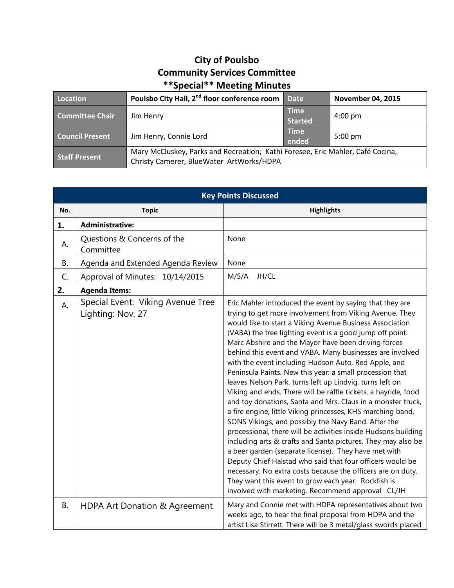## **City of Poulsbo Community Services Committee \*\*Special\*\* Meeting Minutes**

| Location               | Poulsbo City Hall, 2 <sup>nd</sup> floor conference room                                                                   | <b>Date</b>                   | <b>November 04, 2015</b> |
|------------------------|----------------------------------------------------------------------------------------------------------------------------|-------------------------------|--------------------------|
| <b>Committee Chair</b> | Jim Henry                                                                                                                  | <b>Time</b><br><b>Started</b> | $4:00 \text{ pm}$        |
| <b>Council Present</b> | Jim Henry, Connie Lord                                                                                                     | <b>Time</b><br>ended          | $5:00 \text{ pm}$        |
| <b>Staff Present</b>   | Mary McCluskey, Parks and Recreation; Kathi Foresee, Eric Mahler, Café Cocina,<br>Christy Camerer, BlueWater ArtWorks/HDPA |                               |                          |

| <b>Key Points Discussed</b> |                                                        |                                                                                                                                                                                                                                                                                                                                                                                                                                                                                                                                                                                                                                                                                                                                                                                                                                                                                                                                                                                                                                                                                                                                                                                                                                          |  |
|-----------------------------|--------------------------------------------------------|------------------------------------------------------------------------------------------------------------------------------------------------------------------------------------------------------------------------------------------------------------------------------------------------------------------------------------------------------------------------------------------------------------------------------------------------------------------------------------------------------------------------------------------------------------------------------------------------------------------------------------------------------------------------------------------------------------------------------------------------------------------------------------------------------------------------------------------------------------------------------------------------------------------------------------------------------------------------------------------------------------------------------------------------------------------------------------------------------------------------------------------------------------------------------------------------------------------------------------------|--|
| No.                         | <b>Topic</b>                                           | <b>Highlights</b>                                                                                                                                                                                                                                                                                                                                                                                                                                                                                                                                                                                                                                                                                                                                                                                                                                                                                                                                                                                                                                                                                                                                                                                                                        |  |
| 1.                          | <b>Administrative:</b>                                 |                                                                                                                                                                                                                                                                                                                                                                                                                                                                                                                                                                                                                                                                                                                                                                                                                                                                                                                                                                                                                                                                                                                                                                                                                                          |  |
| А.                          | Questions & Concerns of the<br>Committee               | None                                                                                                                                                                                                                                                                                                                                                                                                                                                                                                                                                                                                                                                                                                                                                                                                                                                                                                                                                                                                                                                                                                                                                                                                                                     |  |
| <b>B.</b>                   | Agenda and Extended Agenda Review                      | None                                                                                                                                                                                                                                                                                                                                                                                                                                                                                                                                                                                                                                                                                                                                                                                                                                                                                                                                                                                                                                                                                                                                                                                                                                     |  |
| C.                          | Approval of Minutes: 10/14/2015                        | M/S/A<br>JH/CL                                                                                                                                                                                                                                                                                                                                                                                                                                                                                                                                                                                                                                                                                                                                                                                                                                                                                                                                                                                                                                                                                                                                                                                                                           |  |
| 2.                          | <b>Agenda Items:</b>                                   |                                                                                                                                                                                                                                                                                                                                                                                                                                                                                                                                                                                                                                                                                                                                                                                                                                                                                                                                                                                                                                                                                                                                                                                                                                          |  |
| А.                          | Special Event: Viking Avenue Tree<br>Lighting: Nov. 27 | Eric Mahler introduced the event by saying that they are<br>trying to get more involvement from Viking Avenue. They<br>would like to start a Viking Avenue Business Association<br>(VABA) the tree lighting event is a good jump off point.<br>Marc Abshire and the Mayor have been driving forces<br>behind this event and VABA. Many businesses are involved<br>with the event including Hudson Auto, Red Apple, and<br>Peninsula Paints. New this year: a small procession that<br>leaves Nelson Park, turns left up Lindvig, turns left on<br>Viking and ends. There will be raffle tickets, a hayride, food<br>and toy donations, Santa and Mrs. Claus in a monster truck,<br>a fire engine, little Viking princesses, KHS marching band,<br>SONS Vikings, and possibly the Navy Band. After the<br>processional, there will be activities inside Hudsons building<br>including arts & crafts and Santa pictures. They may also be<br>a beer garden (separate license). They have met with<br>Deputy Chief Halstad who said that four officers would be<br>necessary. No extra costs because the officers are on duty.<br>They want this event to grow each year. Rockfish is<br>involved with marketing. Recommend approval: CL/JH |  |
| <b>B.</b>                   | HDPA Art Donation & Agreement                          | Mary and Connie met with HDPA representatives about two<br>weeks ago, to hear the final proposal from HDPA and the<br>artist Lisa Stirrett. There will be 3 metal/glass swords placed                                                                                                                                                                                                                                                                                                                                                                                                                                                                                                                                                                                                                                                                                                                                                                                                                                                                                                                                                                                                                                                    |  |